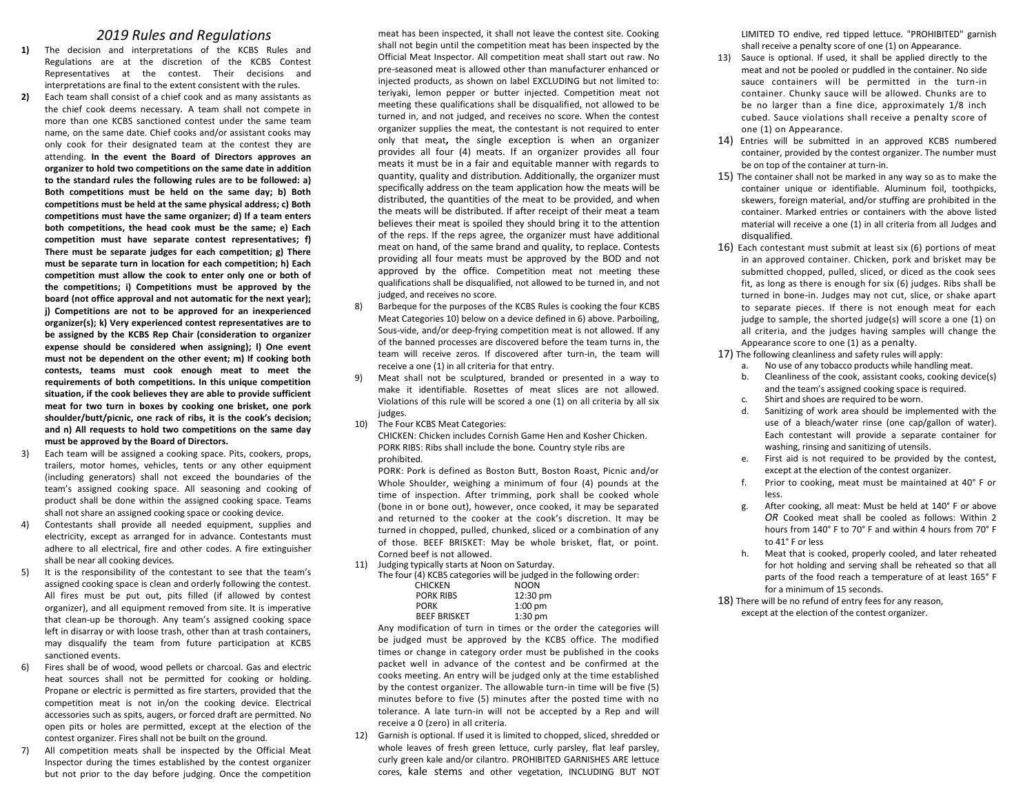### *2019 Rules and Regulations*

- **1)** The decision and interpretations of the KCBS Rules and Regulations are at the discretion of the KCBS Contest Representatives at the contest. Their decisions and interpretations are final to the extent consistent with the rules.
- **2)** Each team shall consist of a chief cook and as many assistants as the chief cook deems necessary*.* A team shall not compete in more than one KCBS sanctioned contest under the same team name, on the same date. Chief cooks and/or assistant cooks may only cook for their designated team at the contest they are attending. **In the event the Board of Directors approves an organizer to hold two competitions on the same date in addition to the standard rules the following rules are to be followed: a) Both competitions must be held on the same day; b) Both competitions must be held at the same physical address; c) Both competitions must have the same organizer; d) If a team enters both competitions, the head cook must be the same; e) Each competition must have separate contest representatives; f) There must be separate judges for each competition; g) There must be separate turn in location for each competition; h) Each competition must allow the cook to enter only one or both of the competitions; i) Competitions must be approved by the board (not office approval and not automatic for the next year); j) Competitions are not to be approved for an inexperienced organizer(s); k) Very experienced contest representatives are to be assigned by the KCBS Rep Chair (consideration to organizer expense should be considered when assigning); l) One event must not be dependent on the other event; m) If cooking both contests, teams must cook enough meat to meet the requirements of both competitions. In this unique competition situation, if the cook believes they are able to provide sufficient meat for two turn in boxes by cooking one brisket, one pork shoulder/butt/picnic, one rack of ribs, it is the cook's decision; and n) All requests to hold two competitions on the same day must be approved by the Board of Directors.**
- 3) Each team will be assigned a cooking space. Pits, cookers, props, trailers, motor homes, vehicles, tents or any other equipment (including generators) shall not exceed the boundaries of the team's assigned cooking space. All seasoning and cooking of product shall be done within the assigned cooking space. Teams shall not share an assigned cooking space or cooking device.
- 4) Contestants shall provide all needed equipment, supplies and electricity, except as arranged for in advance. Contestants must adhere to all electrical, fire and other codes. A fire extinguisher shall be near all cooking devices.
- It is the responsibility of the contestant to see that the team's assigned cooking space is clean and orderly following the contest. All fires must be put out, pits filled (if allowed by contest organizer), and all equipment removed from site. It is imperative that clean-up be thorough. Any team's assigned cooking space left in disarray or with loose trash, other than at trash containers, may disqualify the team from future participation at KCBS sanctioned events.
- 6) Fires shall be of wood, wood pellets or charcoal. Gas and electric heat sources shall not be permitted for cooking or holding. Propane or electric is permitted as fire starters, provided that the competition meat is not in/on the cooking device. Electrical accessories such as spits, augers, or forced draft are permitted. No open pits or holes are permitted, except at the election of the contest organizer. Fires shall not be built on the ground.
- 7) All competition meats shall be inspected by the Official Meat Inspector during the times established by the contest organizer but not prior to the day before judging. Once the competition

meat has been inspected, it shall not leave the contest site. Cooking shall not begin until the competition meat has been inspected by the Official Meat Inspector. All competition meat shall start out raw. No pre-seasoned meat is allowed other than manufacturer enhanced or injected products, as shown on label EXCLUDING but not limited to: teriyaki, lemon pepper or butter injected. Competition meat not meeting these qualifications shall be disqualified, not allowed to be turned in, and not judged, and receives no score. When the contest organizer supplies the meat, the contestant is not required to enter only that meat**,** the single exception is when an organizer provides all four (4) meats. If an organizer provides all four meats it must be in a fair and equitable manner with regards to quantity, quality and distribution. Additionally, the organizer must specifically address on the team application how the meats will be distributed, the quantities of the meat to be provided, and when the meats will be distributed. If after receipt of their meat a team believes their meat is spoiled they should bring it to the attention of the reps. If the reps agree, the organizer must have additional meat on hand, of the same brand and quality, to replace. Contests providing all four meats must be approved by the BOD and not approved by the office. Competition meat not meeting these qualifications shall be disqualified, not allowed to be turned in, and not judged, and receives no score.

- 8) Barbeque for the purposes of the KCBS Rules is cooking the four KCBS Meat Categories 10) below on a device defined in 6) above. Parboiling, Sous-vide, and/or deep-frying competition meat is not allowed. If any of the banned processes are discovered before the team turns in, the team will receive zeros. If discovered after turn-in, the team will receive a one (1) in all criteria for that entry.
- 9) Meat shall not be sculptured, branded or presented in a way to make it identifiable. Rosettes of meat slices are not allowed. Violations of this rule will be scored a one (1) on all criteria by all six judges.
- 10) The Four KCBS Meat Categories: CHICKEN: Chicken includes Cornish Game Hen and Kosher Chicken. PORK RIBS: Ribs shall include the bone*.* Country style ribs are prohibited.

PORK: Pork is defined as Boston Butt, Boston Roast, Picnic and/or Whole Shoulder, weighing a minimum of four (4) pounds at the time of inspection. After trimming, pork shall be cooked whole (bone in or bone out), however, once cooked, it may be separated and returned to the cooker at the cook's discretion. It may be turned in chopped, pulled, chunked, sliced or a combination of any of those. BEEF BRISKET: May be whole brisket, flat, or point. Corned beef is not allowed.

- 11) Judging typically starts at Noon on Saturday.
	- The four (4) KCBS categories will be judged in the following order:<br>CHICKEN NOON CHICKEN NOON<br>PORK RIBS 12:30 pm PORK RIBS PORK 1:00 pm<br>BEEF BRISKET 1:30 pm BEEF BRISKET

Any modification of turn in times or the order the categories will be judged must be approved by the KCBS office. The modified times or change in category order must be published in the cooks packet well in advance of the contest and be confirmed at the cooks meeting. An entry will be judged only at the time established by the contest organizer. The allowable turn-in time will be five (5) minutes before to five (5) minutes after the posted time with no tolerance. A late turn-in will not be accepted by a Rep and will receive a 0 (zero) in all criteria.

12) Garnish is optional. If used it is limited to chopped, sliced, shredded or whole leaves of fresh green lettuce, curly parsley, flat leaf parsley, curly green kale and/or cilantro. PROHIBITED GARNISHES ARE lettuce cores, kale stems and other vegetation, INCLUDING BUT NOT LIMITED TO endive, red tipped lettuce. "PROHIBITED" garnish shall receive a penalty score of one (1) on Appearance.

- 13) Sauce is optional. If used, it shall be applied directly to the meat and not be pooled or puddled in the container. No side sauce containers will be permitted in the turn-in container. Chunky sauce will be allowed. Chunks are to be no larger than a fine dice, approximately 1/8 inch cubed. Sauce violations shall receive a penalty score of one (1) on Appearance.
- 14) Entries will be submitted in an approved KCBS numbered container, provided by the contest organizer. The number must be on top of the container at turn-in.
- 15) The container shall not be marked in any way so as to make the container unique or identifiable. Aluminum foil, toothpicks, skewers, foreign material, and/or stuffing are prohibited in the container. Marked entries or containers with the above listed material will receive a one (1) in all criteria from all Judges and disqualified.
- 16) Each contestant must submit at least six (6) portions of meat in an approved container. Chicken, pork and brisket may be submitted chopped, pulled, sliced, or diced as the cook sees fit, as long as there is enough for six (6) judges. Ribs shall be turned in bone-in. Judges may not cut, slice, or shake apart to separate pieces. If there is not enough meat for each judge to sample, the shorted judge(s) will score a one (1) on all criteria, and the judges having samples will change the Appearance score to one (1) as a penalty.
- 17) The following cleanliness and safety rules will apply:
	- a. No use of any tobacco products while handling meat.
	- b. Cleanliness of the cook, assistant cooks, cooking device(s) and the team's assigned cooking space is required.
	- c. Shirt and shoes are required to be worn.
	- d. Sanitizing of work area should be implemented with the use of a bleach/water rinse (one cap/gallon of water). Each contestant will provide a separate container for washing, rinsing and sanitizing of utensils.
	- e. First aid is not required to be provided by the contest, except at the election of the contest organizer.
	- f. Prior to cooking, meat must be maintained at 40° F or less.
	- g. After cooking, all meat: Must be held at 140° F or above *OR* Cooked meat shall be cooled as follows: Within 2 hours from 140° F to 70° F and within 4 hours from 70° F to 41° F or less
	- h. Meat that is cooked, properly cooled, and later reheated for hot holding and serving shall be reheated so that all parts of the food reach a temperature of at least 165° F for a minimum of 15 seconds.

18) There will be no refund of entry fees for any reason, except at the election of the contest organizer.